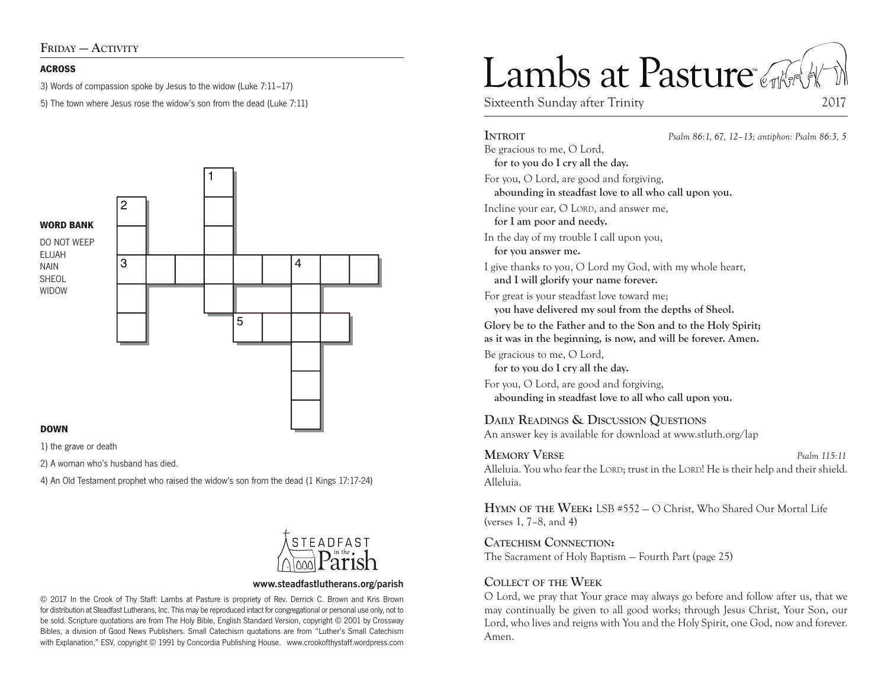#### **ACROSS**

3) Words of compassion spoke by Jesus to the widow (Luke 7:11–17)

5) The town where Jesus rose the widow's son from the dead (Luke 7:11)



#### **DOWN**

1) the grave or death

2) A woman who's husband has died.

4) An Old Testament prophet who raised the widow's son from the dead (1 Kings 17:17-24)



#### **www.steadfastlutherans.org/parish**

© 2017 In the Crook of Thy Staff: Lambs at Pasture is propriety of Rev. Derrick C. Brown and Kris Brown for distribution at Steadfast Lutherans, Inc. This may be reproduced intact for congregational or personal use only, not to be sold. Scripture quotations are from The Holy Bible, English Standard Version, copyright © 2001 by Crossway Bibles, a division of Good News Publishers. Small Catechism quotations are from "Luther's Small Catechism with Explanation," ESV, copyright © 1991 by Concordia Publishing House. www.crookofthystaff.wordpress.com

# Lambs at Pasture

Sixteenth Sunday after Trinity 2017

## **Introit** *Psalm 86:1, 67, 12–13; antiphon: Psalm 86:3, 5* Be gracious to me, O Lord, **for to you do I cry all the day.**  For you, O Lord, are good and forgiving, **abounding in steadfast love to all who call upon you.**  Incline your ear, O LORD, and answer me, **for I am poor and needy.**  In the day of my trouble I call upon you, **for you answer me.**  I give thanks to you, O Lord my God, with my whole heart, **and I will glorify your name forever.**  For great is your steadfast love toward me; **you have delivered my soul from the depths of Sheol. Glory be to the Father and to the Son and to the Holy Spirit; as it was in the beginning, is now, and will be forever. Amen.** Be gracious to me, O Lord, **for to you do I cry all the day.**

For you, O Lord, are good and forgiving, **abounding in steadfast love to all who call upon you.** 

## **Daily Readings & Discussion Questions**

An answer key is available for download at www.stluth.org/lap

### **Memory Verse** *Psalm 115:11*

Alleluia. You who fear the LORD; trust in the LORD! He is their help and their shield. Alleluia.

**Hymn of the Week:** LSB #552 — O Christ, Who Shared Our Mortal Life (verses 1, 7–8, and 4)

**Catechism Connection:** 

The Sacrament of Holy Baptism — Fourth Part (page 25)

## **Collect of the Week**

O Lord, we pray that Your grace may always go before and follow after us, that we may continually be given to all good works; through Jesus Christ, Your Son, our Lord, who lives and reigns with You and the Holy Spirit, one God, now and forever. Amen.